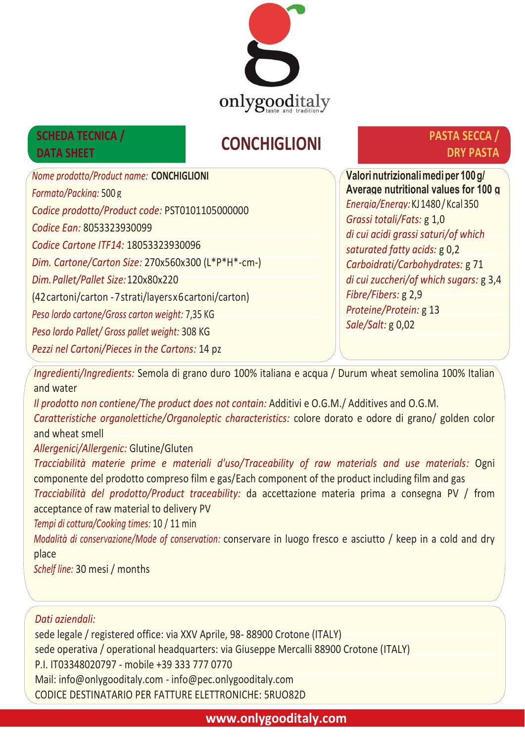

## **DRY PASTA SECCA CONCHIGLIONI SCHEDA TECNICA /**<br> **DATA SHEET**

# **PASTA SECCA /**

*Nome prodotto/Product name:* **CONCHIGLIONI** *Formato/Packing:* 500 g *Codice prodotto/Product code:* PST0101105000000 *Codice Ean:* 8053323930099 *Codice Cartone ITF14:* 18053323930096 *Dim. Cartone/Carton Size:* 270x560x300 (L\*P\*H\*-cm-) *Dim.Pallet/Pallet Size:*120x80x220 (42cartoni/carton -7strati/layersx6cartoni/carton) *Peso lordo cartone/Gross carton weight:* 7,35 KG *Peso lordo Pallet/ Gross pallet weight:* 308 KG *Pezzi nel Cartoni/Pieces in the Cartons:* 14 pz

**Valorinutrizionalimediper 100g/ Average nutritional values for 100 g** *Energia/Energy:*KJ1480/Kcal350 *Grassi totali/Fats:* g 1,0 *di cui acidi grassi saturi/of which saturated fatty acids:* g 0,2 *Carboidrati/Carbohydrates:* g 71 *di cui zuccheri/of which sugars:* g 3,4 *Fibre/Fibers:* g 2,9 *Proteine/Protein:* g 13 *Sale/Salt:* g 0,02

*Ingredienti/Ingredients:* Semola di grano duro 100% italiana e acqua / Durum wheat semolina 100% Italian and water

*Il prodotto non contiene/The product does not contain:* Additivi e O.G.M./ Additives and O.G.M. *Caratteristiche organolettiche/Organoleptic characteristics:* colore dorato e odore di grano/ golden color and wheat smell

*Allergenici/Allergenic:* Glutine/Gluten

*Tracciabilità materie prime e materiali d'uso/Traceability of raw materials and use materials:* Ogni componente del prodotto compreso film e gas/Each component of the product including film and gas

*Tracciabilità del prodotto/Product traceability:* da accettazione materia prima a consegna PV / from acceptance of raw material to delivery PV

*Tempi di cottura/Cooking times:* 10 / 11 min

*Modalità di conserVazione/Mode of conservation:* conservare in luogo fresco e asciutto / keep in a cold and dry place

*Schelf line:* 30 mesi / months

## *Dati aziendali:*

**DATA SHEET**

sede legale / registered office: via XXV Aprile, 98- 88900 Crotone (ITALY) sede operativa / operational headquarters: via Giuseppe Mercalli 88900 Crotone (ITALY) P.I. IT03348020797 - mobile +39 333 777 0770 Mail: info@onlygooditaly.com - info@pec.onlygooditaly.com CODICE DESTINATARIO PER FATTURE ELETTRONICHE: 5RUO82D

**www.onlygooditaly.com**